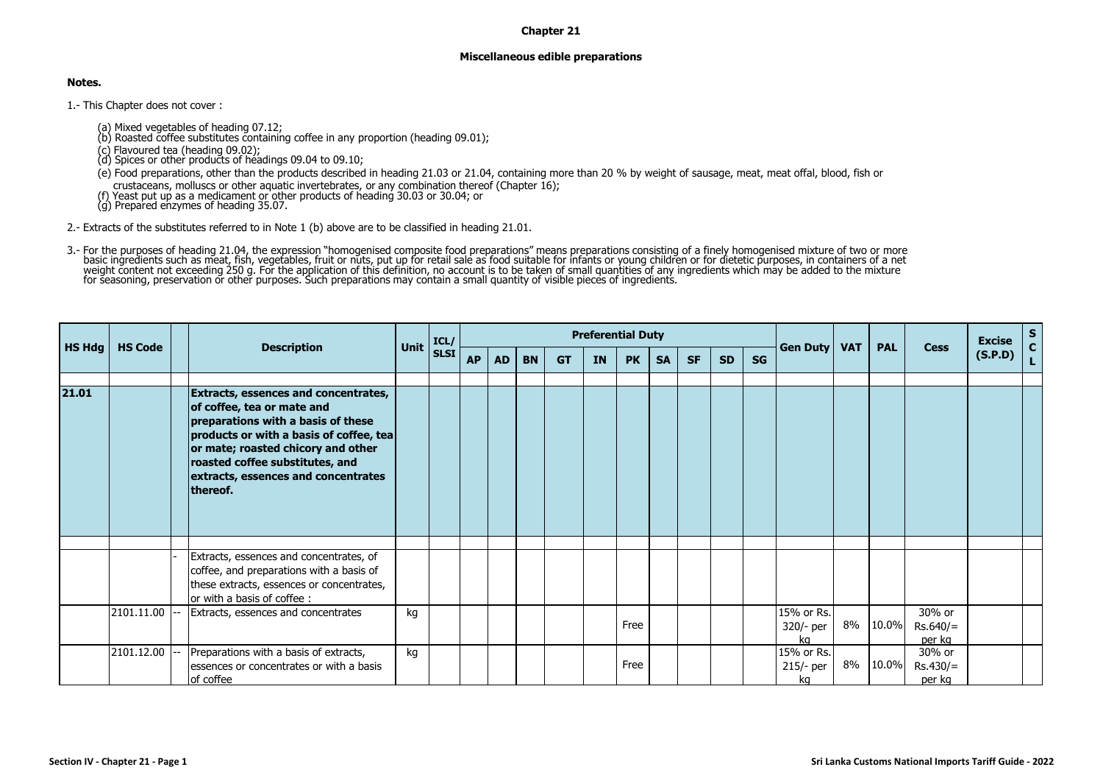## **Chapter 21**

## **Miscellaneous edible preparations**

## **Notes.**

1.- This Chapter does not cover :

- (a) Mixed vegetables of heading 07.12; (b) Roasted coffee substitutes containing coffee in any proportion (heading 09.01);
- 
- (c) Flavoured tea (heading 09.02); (d) Spices or other products of headings 09.04 to 09.10;
- (e) Food preparations, other than the products described in heading 21.03 or 21.04, containing more than 20 % by weight of sausage, meat, meat offal, blood, fish or

crustaceans, molluscs or other aquatic invertebrates, or any combination thereof (Chapter 16); (f) Yeast put up as <sup>a</sup> medicament or other products of heading 30.03 or 30.04; or (g) Prepared enzymes of heading 35.07.

2.- Extracts of the substitutes referred to in Note 1 (b) above are to be classified in heading 21.01.

3.- For the purposes of heading 21.04, the expression "homogenised composite food preparations" means preparations consisting of a finely homogenised mixture of two or more<br>basic incertation of the explication of this defi

|               |                |                                                                                                                                                                                                                                                                                 |             | ICL/        | <b>Preferential Duty</b> |           |           |           |           |           |           |           |           |           |                                     |            |            |                                          | <b>Excise</b> | $S_{C}$ |
|---------------|----------------|---------------------------------------------------------------------------------------------------------------------------------------------------------------------------------------------------------------------------------------------------------------------------------|-------------|-------------|--------------------------|-----------|-----------|-----------|-----------|-----------|-----------|-----------|-----------|-----------|-------------------------------------|------------|------------|------------------------------------------|---------------|---------|
| <b>HS Hdg</b> | <b>HS Code</b> | <b>Description</b>                                                                                                                                                                                                                                                              | <b>Unit</b> | <b>SLSI</b> | <b>AP</b>                | <b>AD</b> | <b>BN</b> | <b>GT</b> | <b>IN</b> | <b>PK</b> | <b>SA</b> | <b>SF</b> | <b>SD</b> | <b>SG</b> | Gen Duty                            | <b>VAT</b> | <b>PAL</b> | <b>Cess</b>                              | (S.P.D)       | L.      |
| 21.01         |                | Extracts, essences and concentrates,<br>of coffee, tea or mate and<br>preparations with a basis of these<br>products or with a basis of coffee, tea<br>or mate; roasted chicory and other<br>roasted coffee substitutes, and<br>extracts, essences and concentrates<br>thereof. |             |             |                          |           |           |           |           |           |           |           |           |           |                                     |            |            |                                          |               |         |
|               | 2101.11.00     | Extracts, essences and concentrates, of<br>coffee, and preparations with a basis of<br>these extracts, essences or concentrates,<br>lor with a basis of coffee:<br>Extracts, essences and concentrates                                                                          | kg          |             |                          |           |           |           |           | Free      |           |           |           |           | 15% or Rs.<br>320/- per             |            | 8% 10.0%   | 30% or<br>$Rs.640/=$                     |               |         |
|               | 2101.12.00     | Preparations with a basis of extracts,<br>essences or concentrates or with a basis<br>of coffee                                                                                                                                                                                 | kg          |             |                          |           |           |           |           | Free      |           |           |           |           | ka<br>15% or Rs.<br>215/- per<br>ka |            | 8% 10.0%   | per ka<br>30% or<br>$Rs.430/=$<br>per kg |               |         |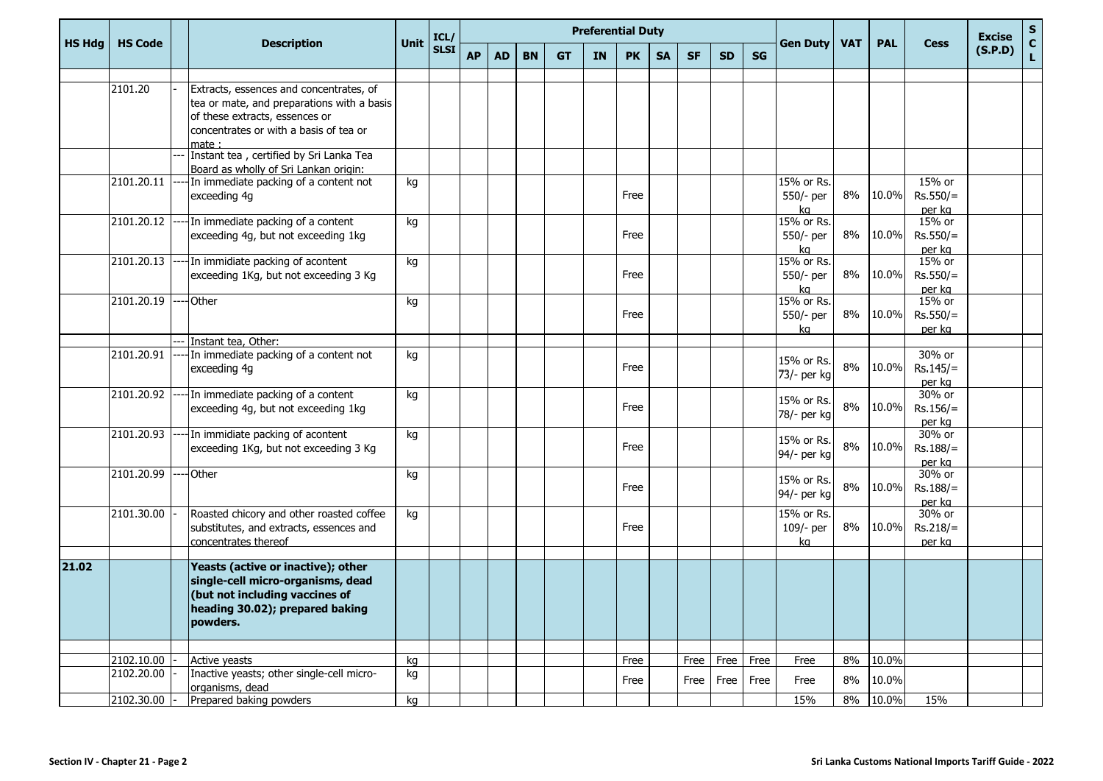| <b>HS Hdg</b> |                |  | <b>Description</b>                                           |             | ICL/        | <b>Preferential Duty</b> |           |           |           |           |           |           |           |           |           |                           |            |            |                     | <b>Excise</b> |             |
|---------------|----------------|--|--------------------------------------------------------------|-------------|-------------|--------------------------|-----------|-----------|-----------|-----------|-----------|-----------|-----------|-----------|-----------|---------------------------|------------|------------|---------------------|---------------|-------------|
|               | <b>HS Code</b> |  |                                                              | <b>Unit</b> | <b>SLSI</b> | <b>AP</b>                | <b>AD</b> | <b>BN</b> | <b>GT</b> | <b>IN</b> | <b>PK</b> | <b>SA</b> | <b>SF</b> | <b>SD</b> | <b>SG</b> | <b>Gen Duty</b>           | <b>VAT</b> | <b>PAL</b> | <b>Cess</b>         | (S.P.D)       | S<br>C<br>L |
|               |                |  |                                                              |             |             |                          |           |           |           |           |           |           |           |           |           |                           |            |            |                     |               |             |
|               | 2101.20        |  | Extracts, essences and concentrates, of                      |             |             |                          |           |           |           |           |           |           |           |           |           |                           |            |            |                     |               |             |
|               |                |  | tea or mate, and preparations with a basis                   |             |             |                          |           |           |           |           |           |           |           |           |           |                           |            |            |                     |               |             |
|               |                |  | of these extracts, essences or                               |             |             |                          |           |           |           |           |           |           |           |           |           |                           |            |            |                     |               |             |
|               |                |  | concentrates or with a basis of tea or                       |             |             |                          |           |           |           |           |           |           |           |           |           |                           |            |            |                     |               |             |
|               |                |  | mate:<br>Instant tea, certified by Sri Lanka Tea             |             |             |                          |           |           |           |           |           |           |           |           |           |                           |            |            |                     |               |             |
|               |                |  | Board as wholly of Sri Lankan origin:                        |             |             |                          |           |           |           |           |           |           |           |           |           |                           |            |            |                     |               |             |
|               | 2101.20.11     |  | In immediate packing of a content not                        | kg          |             |                          |           |           |           |           |           |           |           |           |           | 15% or Rs.                |            |            | 15% or              |               |             |
|               |                |  | exceeding 4g                                                 |             |             |                          |           |           |           |           | Free      |           |           |           |           | 550/- per                 | 8%         | 10.0%      | $Rs.550/=$          |               |             |
|               |                |  |                                                              |             |             |                          |           |           |           |           |           |           |           |           |           | kg                        |            |            | per kg              |               |             |
|               | 2101.20.12     |  | In immediate packing of a content                            | kg          |             |                          |           |           |           |           |           |           |           |           |           | 15% or Rs.                |            |            | 15% or              |               |             |
|               |                |  | exceeding 4g, but not exceeding 1kg                          |             |             |                          |           |           |           |           | Free      |           |           |           |           | 550/- per                 | 8%         | 10.0%      | $Rs.550/=$          |               |             |
|               | 2101.20.13     |  | In immidiate packing of acontent                             |             |             |                          |           |           |           |           |           |           |           |           |           | kg<br>15% or Rs.          |            |            | per kg<br>15% or    |               |             |
|               |                |  | exceeding 1Kg, but not exceeding 3 Kg                        | kg          |             |                          |           |           |           |           | Free      |           |           |           |           | 550/- per                 | 8%         | 10.0%      | $Rs.550/=$          |               |             |
|               |                |  |                                                              |             |             |                          |           |           |           |           |           |           |           |           |           | kg                        |            |            | per kg              |               |             |
|               | 2101.20.19     |  | <b>Other</b>                                                 | kg          |             |                          |           |           |           |           |           |           |           |           |           | 15% or Rs.                |            |            | 15% or              |               |             |
|               |                |  |                                                              |             |             |                          |           |           |           |           | Free      |           |           |           |           | 550/- per                 | 8%         | 10.0%      | $Rs.550/=$          |               |             |
|               |                |  |                                                              |             |             |                          |           |           |           |           |           |           |           |           |           | ka                        |            |            | per kg              |               |             |
|               |                |  | Instant tea, Other:                                          |             |             |                          |           |           |           |           |           |           |           |           |           |                           |            |            |                     |               |             |
|               | 2101.20.91     |  | In immediate packing of a content not                        | kg          |             |                          |           |           |           |           |           |           |           |           |           | 15% or Rs.                |            |            | 30% or              |               |             |
|               |                |  | exceeding 4g                                                 |             |             |                          |           |           |           |           | Free      |           |           |           |           | 73/- per kg               | 8%         | 10.0%      | $Rs.145/=$          |               |             |
|               | 2101.20.92     |  | In immediate packing of a content                            |             |             |                          |           |           |           |           |           |           |           |           |           |                           |            |            | per kg<br>30% or    |               |             |
|               |                |  | exceeding 4g, but not exceeding 1kg                          | kg          |             |                          |           |           |           |           | Free      |           |           |           |           | 15% or Rs.                | 8%         | 10.0%      | $Rs.156/=$          |               |             |
|               |                |  |                                                              |             |             |                          |           |           |           |           |           |           |           |           |           | 78/- per kg               |            |            | per kg              |               |             |
|               | 2101.20.93     |  | In immidiate packing of acontent                             | kg          |             |                          |           |           |           |           |           |           |           |           |           |                           |            |            | 30% or              |               |             |
|               |                |  | exceeding 1Kg, but not exceeding 3 Kg                        |             |             |                          |           |           |           |           | Free      |           |           |           |           | 15% or Rs.<br>94/- per kg | $8\%$      | 10.0%      | $Rs.188/=$          |               |             |
|               |                |  |                                                              |             |             |                          |           |           |           |           |           |           |           |           |           |                           |            |            | per kg              |               |             |
|               | 2101.20.99     |  | Other                                                        | kg          |             |                          |           |           |           |           |           |           |           |           |           | 15% or Rs.                |            |            | 30% or              |               |             |
|               |                |  |                                                              |             |             |                          |           |           |           |           | Free      |           |           |           |           | 94/- per kg               | $8\%$      | 10.0%      | $Rs.188/=$          |               |             |
|               | 2101.30.00     |  | Roasted chicory and other roasted coffee                     | kg          |             |                          |           |           |           |           |           |           |           |           |           | 15% or Rs.                |            |            | per kg<br>$30\%$ or |               |             |
|               |                |  | substitutes, and extracts, essences and                      |             |             |                          |           |           |           |           | Free      |           |           |           |           | 109/- per                 | 8%         | 10.0%      | $Rs.218/=$          |               |             |
|               |                |  | concentrates thereof                                         |             |             |                          |           |           |           |           |           |           |           |           |           | ka                        |            |            | per kg              |               |             |
|               |                |  |                                                              |             |             |                          |           |           |           |           |           |           |           |           |           |                           |            |            |                     |               |             |
| 21.02         |                |  | Yeasts (active or inactive); other                           |             |             |                          |           |           |           |           |           |           |           |           |           |                           |            |            |                     |               |             |
|               |                |  | single-cell micro-organisms, dead                            |             |             |                          |           |           |           |           |           |           |           |           |           |                           |            |            |                     |               |             |
|               |                |  | (but not including vaccines of                               |             |             |                          |           |           |           |           |           |           |           |           |           |                           |            |            |                     |               |             |
|               |                |  | heading 30.02); prepared baking                              |             |             |                          |           |           |           |           |           |           |           |           |           |                           |            |            |                     |               |             |
|               |                |  | powders.                                                     |             |             |                          |           |           |           |           |           |           |           |           |           |                           |            |            |                     |               |             |
|               |                |  |                                                              |             |             |                          |           |           |           |           |           |           |           |           |           |                           |            |            |                     |               |             |
|               | 2102.10.00     |  | Active yeasts                                                | kg          |             |                          |           |           |           |           | Free      |           |           | Free Free | Free      | Free                      | 8%         | 10.0%      |                     |               |             |
|               | 2102.20.00     |  | Inactive yeasts; other single-cell micro-<br>organisms, dead | kg          |             |                          |           |           |           |           | Free      |           |           | Free Free | Free      | Free                      | 8%         | 10.0%      |                     |               |             |
|               | 2102.30.00     |  | Prepared baking powders                                      | kg          |             |                          |           |           |           |           |           |           |           |           |           | 15%                       | 8%         | 10.0%      | 15%                 |               |             |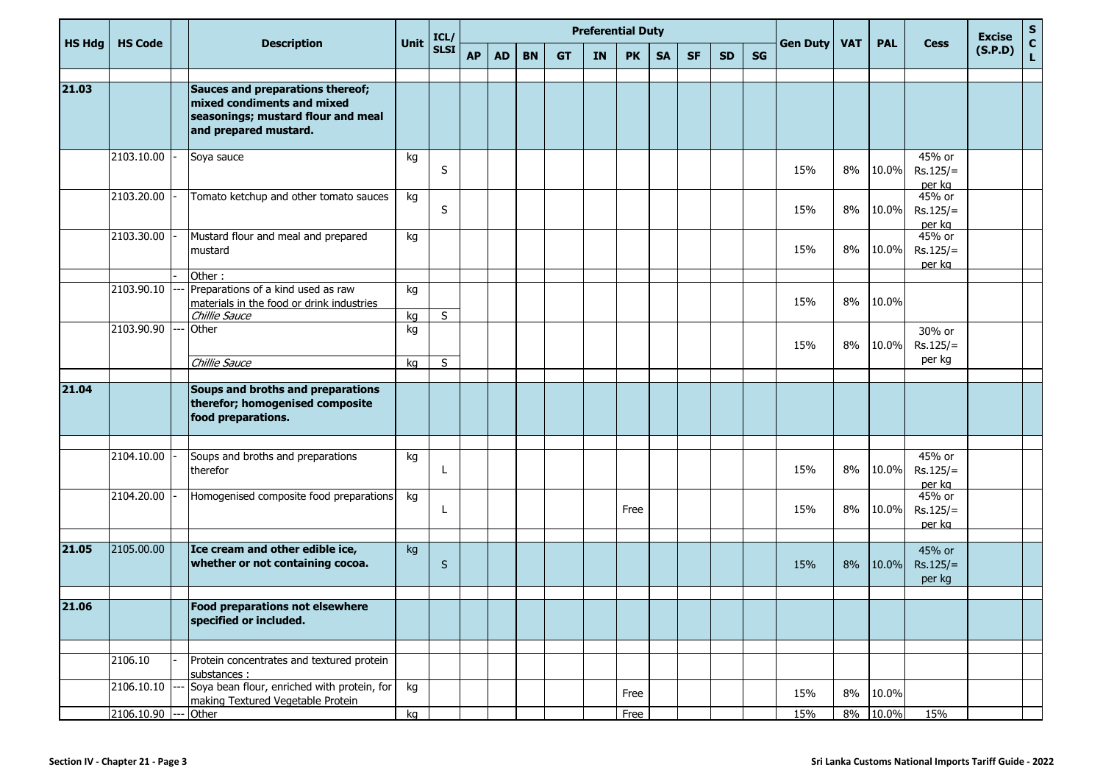|               |                |  | <b>Description</b>                                                                                                            |          | ICL/        | <b>Preferential Duty</b> |           |           |           |           |           |           |           |           |           |                 |            |            |                                | <b>Excise</b> | ${\sf s}$                   |
|---------------|----------------|--|-------------------------------------------------------------------------------------------------------------------------------|----------|-------------|--------------------------|-----------|-----------|-----------|-----------|-----------|-----------|-----------|-----------|-----------|-----------------|------------|------------|--------------------------------|---------------|-----------------------------|
| <b>HS Hdg</b> | <b>HS Code</b> |  |                                                                                                                               | Unit     | <b>SLSI</b> | <b>AP</b>                | <b>AD</b> | <b>BN</b> | <b>GT</b> | <b>IN</b> | <b>PK</b> | <b>SA</b> | <b>SF</b> | <b>SD</b> | <b>SG</b> | <b>Gen Duty</b> | <b>VAT</b> | <b>PAL</b> | <b>Cess</b>                    | (S.P.D)       | $\mathbf{c}$<br>$\mathbf L$ |
|               |                |  |                                                                                                                               |          |             |                          |           |           |           |           |           |           |           |           |           |                 |            |            |                                |               |                             |
| 21.03         |                |  | Sauces and preparations thereof;<br>mixed condiments and mixed<br>seasonings; mustard flour and meal<br>and prepared mustard. |          |             |                          |           |           |           |           |           |           |           |           |           |                 |            |            |                                |               |                             |
|               | 2103.10.00     |  | Soya sauce                                                                                                                    | kg       | S           |                          |           |           |           |           |           |           |           |           |           | 15%             | 8%         | 10.0%      | 45% or<br>$Rs.125/=$<br>per kg |               |                             |
|               | 2103.20.00     |  | Tomato ketchup and other tomato sauces                                                                                        | kg       | $\sf S$     |                          |           |           |           |           |           |           |           |           |           | 15%             | 8%         | 10.0%      | 45% or<br>$Rs.125/=$<br>per kg |               |                             |
|               | 2103.30.00     |  | Mustard flour and meal and prepared<br>Imustard                                                                               | kg       |             |                          |           |           |           |           |           |           |           |           |           | 15%             | 8%         | 10.0%      | 45% or<br>$Rs.125/=$<br>per kg |               |                             |
|               |                |  | Other:                                                                                                                        |          |             |                          |           |           |           |           |           |           |           |           |           |                 |            |            |                                |               |                             |
|               | 2103.90.10     |  | Preparations of a kind used as raw<br>materials in the food or drink industries                                               | kg       | S           |                          |           |           |           |           |           |           |           |           |           | 15%             | 8%         | 10.0%      |                                |               |                             |
|               | 2103.90.90     |  | Chillie Sauce<br>Other                                                                                                        | kg<br>kg |             |                          |           |           |           |           |           |           |           |           |           | 15%             | 8%         | 10.0%      | 30% or<br>$Rs.125/=$           |               |                             |
|               |                |  | Chillie Sauce                                                                                                                 | kg       | S           |                          |           |           |           |           |           |           |           |           |           |                 |            |            | per kg                         |               |                             |
| 21.04         |                |  | Soups and broths and preparations<br>therefor; homogenised composite<br>food preparations.                                    |          |             |                          |           |           |           |           |           |           |           |           |           |                 |            |            |                                |               |                             |
|               |                |  |                                                                                                                               |          |             |                          |           |           |           |           |           |           |           |           |           |                 |            |            |                                |               |                             |
|               | 2104.10.00     |  | Soups and broths and preparations<br>therefor                                                                                 | kg       | L           |                          |           |           |           |           |           |           |           |           |           | 15%             | 8%         | 10.0%      | 45% or<br>$Rs.125/=$<br>per kg |               |                             |
|               | 2104.20.00     |  | Homogenised composite food preparations                                                                                       | kg       | L           |                          |           |           |           |           | Free      |           |           |           |           | 15%             | 8%         | 10.0%      | 45% or<br>$Rs.125/=$<br>per kg |               |                             |
|               |                |  |                                                                                                                               |          |             |                          |           |           |           |           |           |           |           |           |           |                 |            |            |                                |               |                             |
| 21.05         | 2105.00.00     |  | Ice cream and other edible ice,<br>whether or not containing cocoa.                                                           | kg       | $\sf S$     |                          |           |           |           |           |           |           |           |           |           | 15%             | 8%         | 10.0%      | 45% or<br>$Rs.125/=$<br>per kg |               |                             |
| 21.06         |                |  |                                                                                                                               |          |             |                          |           |           |           |           |           |           |           |           |           |                 |            |            |                                |               |                             |
|               |                |  | Food preparations not elsewhere<br>specified or included.                                                                     |          |             |                          |           |           |           |           |           |           |           |           |           |                 |            |            |                                |               |                             |
|               |                |  |                                                                                                                               |          |             |                          |           |           |           |           |           |           |           |           |           |                 |            |            |                                |               |                             |
|               | 2106.10        |  | Protein concentrates and textured protein<br>substances :                                                                     |          |             |                          |           |           |           |           |           |           |           |           |           |                 |            |            |                                |               |                             |
|               | 2106.10.10     |  | Soya bean flour, enriched with protein, for<br>making Textured Vegetable Protein                                              | kg       |             |                          |           |           |           |           | Free      |           |           |           |           | 15%             | 8%         | 10.0%      |                                |               |                             |
|               | 2106.10.90     |  | Other                                                                                                                         | kg       |             |                          |           |           |           |           | Free      |           |           |           |           | 15%             |            | 8% 10.0%   | 15%                            |               |                             |